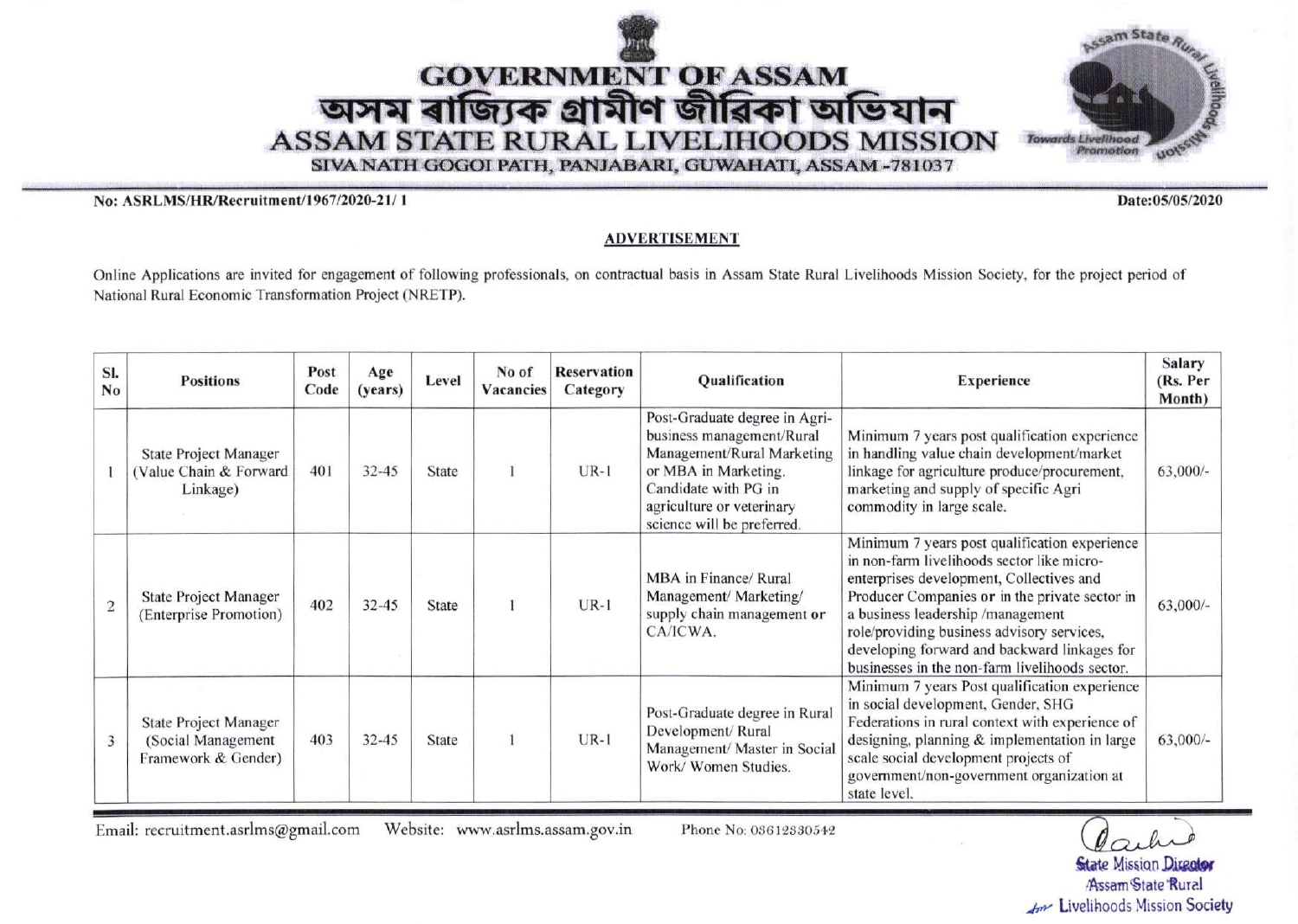



No: ASRLMS/HR/Recruitment/1967/2020-21/1

Date:05/05/2020

## **ADVERTISEMENT**

Online Applications are invited for engagement of following professionals, on contractual basis in Assam State Rural Livelihoods Mission Society, for the project period of National Rural Economic Transformation Project (NRETP).

| SI.<br>No      | <b>Positions</b>                                                   | Post<br>Code | Age<br>(years) | Level        | No of<br><b>Vacancies</b> | <b>Reservation</b><br>Category | Qualification                                                                                                                                                                                       | <b>Experience</b>                                                                                                                                                                                                                                                                                                                                                              | <b>Salary</b><br>(Rs. Per<br>Month) |
|----------------|--------------------------------------------------------------------|--------------|----------------|--------------|---------------------------|--------------------------------|-----------------------------------------------------------------------------------------------------------------------------------------------------------------------------------------------------|--------------------------------------------------------------------------------------------------------------------------------------------------------------------------------------------------------------------------------------------------------------------------------------------------------------------------------------------------------------------------------|-------------------------------------|
|                | <b>State Project Manager</b><br>(Value Chain & Forward<br>Linkage) | 401          | $32 - 45$      | State        |                           | $UR-1$                         | Post-Graduate degree in Agri-<br>business management/Rural<br>Management/Rural Marketing<br>or MBA in Marketing.<br>Candidate with PG in<br>agriculture or veterinary<br>science will be preferred. | Minimum 7 years post qualification experience<br>in handling value chain development/market<br>linkage for agriculture produce/procurement,<br>marketing and supply of specific Agri<br>commodity in large scale.                                                                                                                                                              | $63,000/$ -                         |
| $\overline{2}$ | <b>State Project Manager</b><br>(Enterprise Promotion)             | 402          | $32 - 45$      | <b>State</b> |                           | $UR-1$                         | MBA in Finance/ Rural<br>Management/ Marketing/<br>supply chain management or<br>CA/ICWA.                                                                                                           | Minimum 7 years post qualification experience<br>in non-farm livelihoods sector like micro-<br>enterprises development, Collectives and<br>Producer Companies or in the private sector in<br>a business leadership /management<br>role/providing business advisory services,<br>developing forward and backward linkages for<br>businesses in the non-farm livelihoods sector. | $63,000/-$                          |
| 3              | State Project Manager<br>(Social Management<br>Framework & Gender) | 403          | $32 - 45$      | State        |                           | $UR-1$                         | Post-Graduate degree in Rural<br>Development/Rural<br>Management/ Master in Social<br>Work/Women Studies.                                                                                           | Minimum 7 years Post qualification experience<br>in social development, Gender, SHG<br>Federations in rural context with experience of<br>designing, planning & implementation in large<br>scale social development projects of<br>government/non-government organization at<br>state level.                                                                                   | $63,000/-$                          |

Email: recruitment.asrlms@gmail.com Website: www.asrlms.assam.gov.in

Phone No: 03612330542

**State Mission Director** Assam State Rural An Livelihoods Mission Society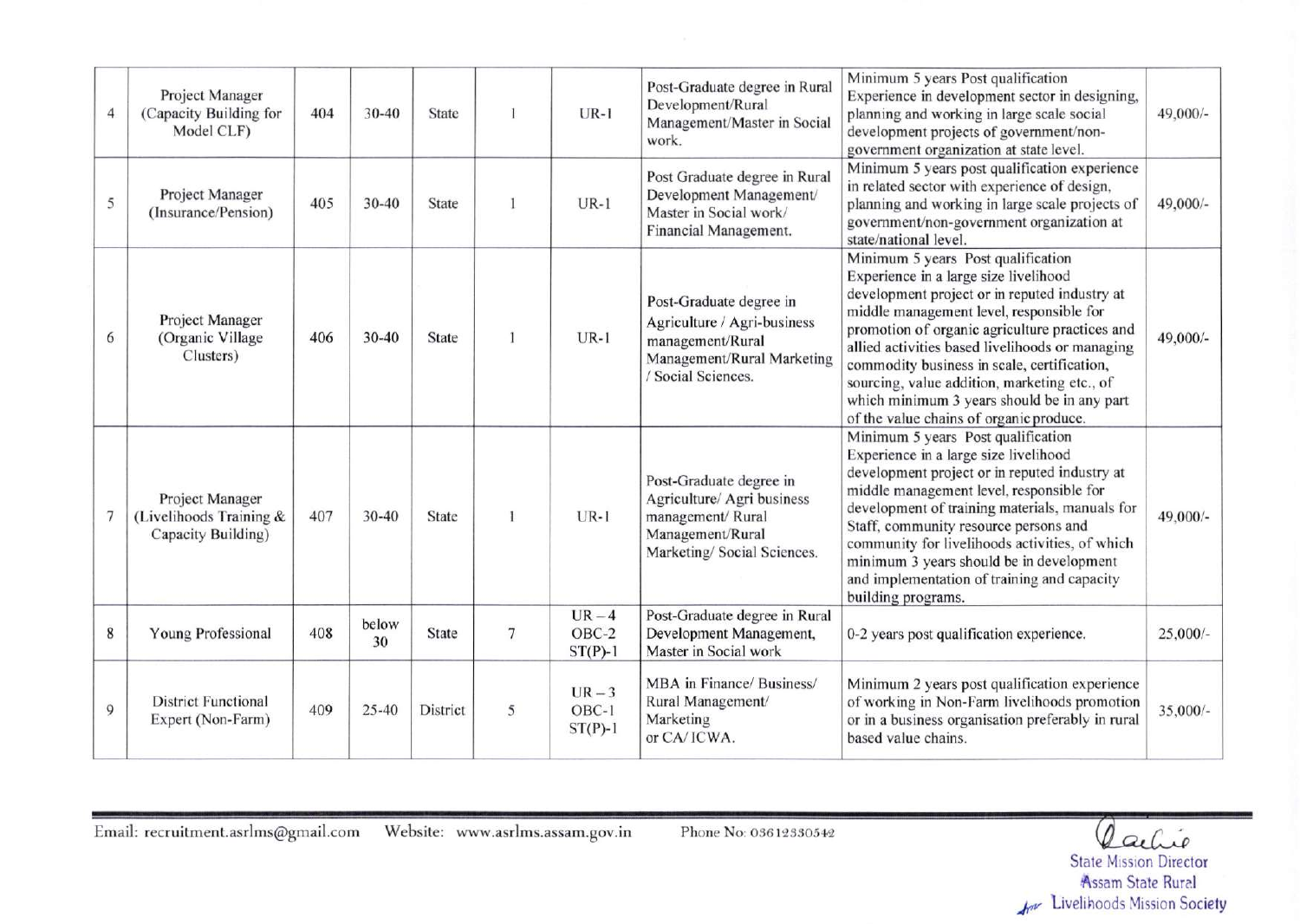| 4              | Project Manager<br>(Capacity Building for<br>Model CLF)          | 404 | $30 - 40$   | State           |                | $UR-1$                         | Post-Graduate degree in Rural<br>Development/Rural<br>Management/Master in Social<br>work.                                     | Minimum 5 years Post qualification<br>Experience in development sector in designing,<br>planning and working in large scale social<br>development projects of government/non-<br>government organization at state level.                                                                                                                                                                                                                                               | $49,000/-$ |
|----------------|------------------------------------------------------------------|-----|-------------|-----------------|----------------|--------------------------------|--------------------------------------------------------------------------------------------------------------------------------|------------------------------------------------------------------------------------------------------------------------------------------------------------------------------------------------------------------------------------------------------------------------------------------------------------------------------------------------------------------------------------------------------------------------------------------------------------------------|------------|
| 5              | Project Manager<br>(Insurance/Pension)                           | 405 | $30 - 40$   | State           |                | $UR-1$                         | Post Graduate degree in Rural<br>Development Management/<br>Master in Social work/<br>Financial Management.                    | Minimum 5 years post qualification experience<br>in related sector with experience of design,<br>planning and working in large scale projects of<br>government/non-government organization at<br>state/national level.                                                                                                                                                                                                                                                 | 49,000/-   |
| 6              | Project Manager<br>(Organic Village<br>Clusters)                 | 406 | $30 - 40$   | <b>State</b>    |                | $UR-1$                         | Post-Graduate degree in<br>Agriculture / Agri-business<br>management/Rural<br>Management/Rural Marketing<br>/ Social Sciences. | Minimum 5 years Post qualification<br>Experience in a large size livelihood<br>development project or in reputed industry at<br>middle management level, responsible for<br>promotion of organic agriculture practices and<br>allied activities based livelihoods or managing<br>commodity business in scale, certification,<br>sourcing, value addition, marketing etc., of<br>which minimum 3 years should be in any part<br>of the value chains of organic produce. | 49,000/-   |
| 7              | Project Manager<br>(Livelihoods Training &<br>Capacity Building) | 407 | $30 - 40$   | <b>State</b>    |                | $UR-1$                         | Post-Graduate degree in<br>Agriculture/ Agri business<br>management/Rural<br>Management/Rural<br>Marketing/Social Sciences.    | Minimum 5 years Post qualification<br>Experience in a large size livelihood<br>development project or in reputed industry at<br>middle management level, responsible for<br>development of training materials, manuals for<br>Staff, community resource persons and<br>community for livelihoods activities, of which<br>minimum 3 years should be in development<br>and implementation of training and capacity<br>building programs.                                 | 49,000/-   |
| 8              | Young Professional                                               | 408 | below<br>30 | <b>State</b>    | $\overline{7}$ | $UR-4$<br>OBC-2<br>$ST(P)-1$   | Post-Graduate degree in Rural<br>Development Management,<br>Master in Social work                                              | 0-2 years post qualification experience.                                                                                                                                                                                                                                                                                                                                                                                                                               | $25,000/-$ |
| $\overline{9}$ | <b>District Functional</b><br>Expert (Non-Farm)                  | 409 | $25 - 40$   | <b>District</b> | 5              | $UR-3$<br>$OBC-1$<br>$ST(P)-1$ | MBA in Finance/ Business/<br>Rural Management/<br>Marketing<br>or CA/ICWA.                                                     | Minimum 2 years post qualification experience<br>of working in Non-Farm livelihoods promotion<br>or in a business organisation preferably in rural<br>based value chains.                                                                                                                                                                                                                                                                                              | $35,000/-$ |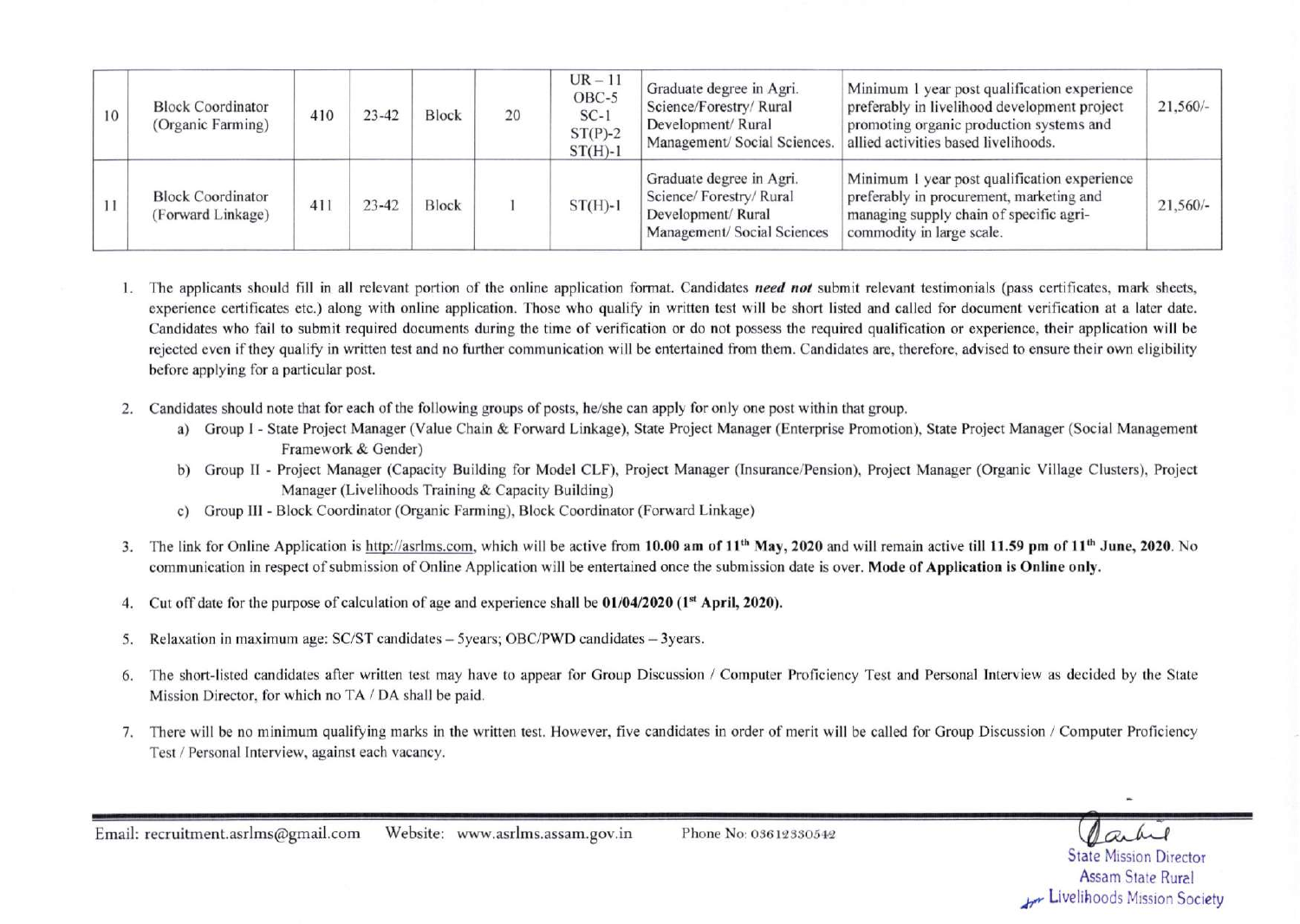| 10 | <b>Block Coordinator</b><br>(Organic Farming) | 410 | $23 - 42$ | <b>Block</b> | 20 | $UR - 11$<br>OBC-5<br>$SC-1$<br>$ST(P)-2$<br>$ST(H)-1$ | Graduate degree in Agri.<br>Science/Forestry/Rural<br>Development/Rural<br>Management/ Social Sciences. | Minimum 1 year post qualification experience<br>preferably in livelihood development project<br>promoting organic production systems and<br>allied activities based livelihoods. | $21,560/-$ |
|----|-----------------------------------------------|-----|-----------|--------------|----|--------------------------------------------------------|---------------------------------------------------------------------------------------------------------|----------------------------------------------------------------------------------------------------------------------------------------------------------------------------------|------------|
|    | <b>Block Coordinator</b><br>(Forward Linkage) | 411 | 23-42     | <b>Block</b> |    | $ST(H)-1$                                              | Graduate degree in Agri.<br>Science/Forestry/Rural<br>Development/Rural<br>Management/ Social Sciences  | Minimum 1 year post qualification experience<br>preferably in procurement, marketing and<br>managing supply chain of specific agri-<br>commodity in large scale.                 | $21,560/-$ |

- 1. The applicants should fill in all relevant portion of the online application format. Candidates *need not* submit relevant testimonials (pass certificates, mark sheets, experience certificates etc.) along with online application. Those who qualify in written test will be short listed and called for document verification at a later date. Candidates who fail to submit required documents during the time of verification or do not possess the required qualification or experience, their application \ryill be rejected even if they qualify in written test and no further communication will be entertained from them. Candidates are, therefore, advised to ensure their own eligibility before applying for a particular post.
- 2. Candidates should note that for each of the following groups of posts, he/she can apply for only one post within that group.
	- a) Group I State Project Manager (Value Chain & Forward Linkage), State Project Manager (Enterprise Promotion), State Project Manager (Social Management Framework & Gender)
	- b) Group II Project Manager (Capacity Building for Model CLF), Project Manager (Insurance/Pension), Project Manager (Organic Village Clusters), Project Manager (Livelihoods Training & Capacity Building)
	- c) Group III Block Coordinator (Organic Farming), Block Coordinator (Forward Linkage)
- 3. The link for Online Application is http://asrlms.com, which will be active from 10.00 am of  $11<sup>th</sup>$  May, 2020 and will remain active till 11.59 pm of  $11<sup>th</sup>$  June, 2020. No communication in respect of submission of Online Application will be entertained once the submission date is over. Mode of Application is Online only.
- 4. Cut off date for the purpose of calculation of age and experience shall be 01/04/2020 (1<sup>st</sup> April, 2020).
- 5. Relaxation in maximum age: SC/ST candidates 5years; OBC/PWD candidates 3years.
- 6. The short-listed candidates after written test may have to appear for Group Discussion / Computer Proficiency Test and Personal Interview as decided by the State Mission Director, for which no TA / DA shall be paid.
- 7. There will be no minimum qualifying marks in the written test. However, five candidates in order of merit will be called for Group Discussion / Computer Proficiency Test / Personal Interview, against each vacancy.

State Mission Director **Assam State Rural Livelihoods Mission Society**